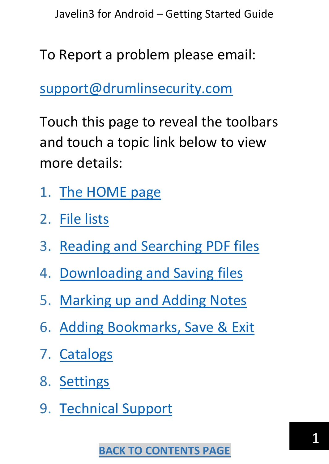<span id="page-0-0"></span>To Report a problem please email:

[support@drumlinsecurity.com](mailto:support@drumlinsecurity.com)

Touch this page to reveal the toolbars and touch a topic link below to view more details:

- 1. [The HOME page](#page-1-0)
- 2. File lists
- 3. Reading and Searching PDF files
- 4. [Downloading and Saving files](#page-6-0)
- 5. [Marking up and Adding Notes](#page-10-0)
- 6. [Adding Bookmarks, Save &](#page-15-0) Exit
- 7. [Catalogs](#page-16-0)
- 8. [Settings](#page-17-0)
- 9. [Technical Support](#page-18-0)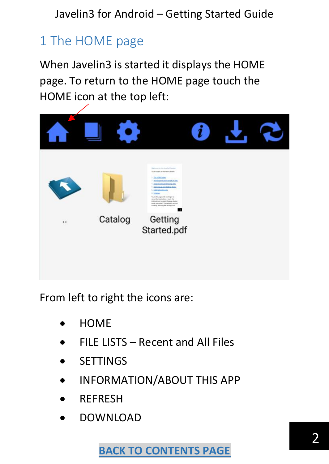# <span id="page-1-0"></span>1 The HOME page

When Javelin3 is started it displays the HOME page. To return to the HOME page touch the HOME icon at the top left:



From left to right the icons are:

- HOME
- FILE LISTS Recent and All Files
- **SETTINGS**
- INFORMATION/ABOUT THIS APP
- **REFRESH**
- DOWNLOAD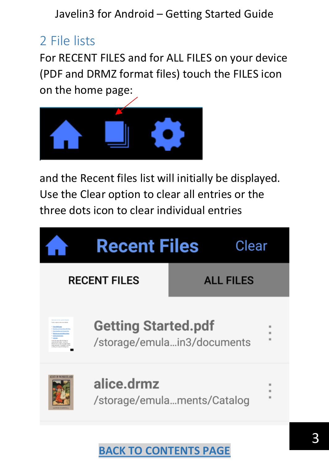# 2 File lists

For RECENT FILES and for ALL FILES on your device (PDF and DRMZ format files) touch the FILES icon on the home page:



and the Recent files list will initially be displayed. Use the Clear option to clear all entries or the three dots icon to clear individual entries

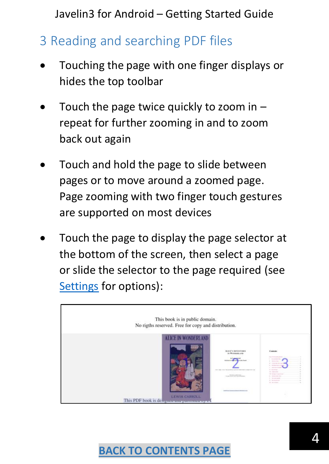# 3 Reading and searching PDF files

- Touching the page with one finger displays or hides the top toolbar
- Touch the page twice quickly to zoom in  $$ repeat for further zooming in and to zoom back out again
- Touch and hold the page to slide between pages or to move around a zoomed page. Page zooming with two finger touch gestures are supported on most devices
- Touch the page to display the page selector at the bottom of the screen, then select a page or slide the selector to the page required (see [Settings](#page-17-0) for options):

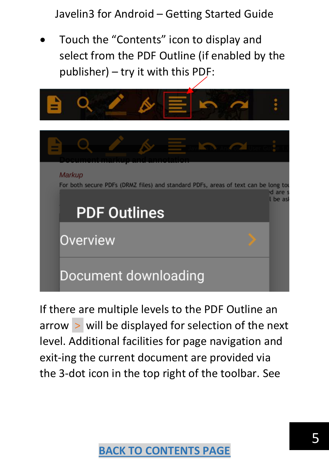• Touch the "Contents" icon to display and select from the PDF Outline (if enabled by the publisher) – try it with this PDF:



If there are multiple levels to the PDF Outline an arrow  $>$  will be displayed for selection of the next level. Additional facilities for page navigation and exit-ing the current document are provided via the 3-dot icon in the top right of the toolbar. See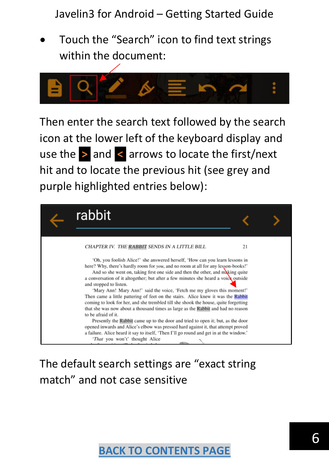• Touch the "Search" icon to find text strings within the document:



Then enter the search text followed by the search icon at the lower left of the keyboard display and use the **>** and **<** arrows to locate the first/next hit and to locate the previous hit (see grey and purple highlighted entries below):



### The default search settings are "exact string match" and not case sensitive

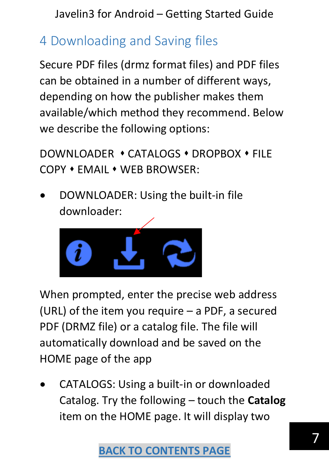# <span id="page-6-0"></span>4 Downloading and Saving files

Secure PDF files (drmz format files) and PDF files can be obtained in a number of different ways, depending on how the publisher makes them available/which method they recommend. Below we describe the following options:

DOWNLOADER ⬧ CATALOGS ⬧ DROPBOX ⬧ FILE COPY ⬧ EMAIL ⬧ WEB BROWSER:

• DOWNLOADER: Using the built-in file downloader:



When prompted, enter the precise web address (URL) of the item you require – a PDF, a secured PDF (DRMZ file) or a catalog file. The file will automatically download and be saved on the HOME page of the app

• CATALOGS: Using a built-in or downloaded Catalog. Try the following – touch the **Catalog** item on the HOME page. It will display two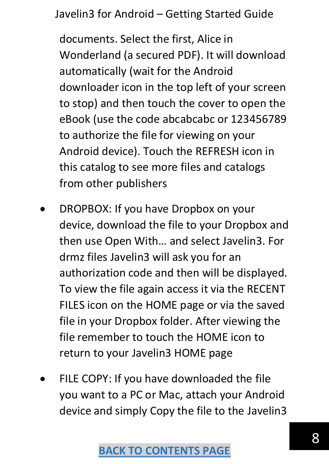documents. Select the first, Alice in Wonderland (a secured PDF). It will download automatically (wait for the Android downloader icon in the top left of your screen to stop) and then touch the cover to open the eBook (use the code abcabcabc or 123456789 to authorize the file for viewing on your Android device). Touch the REFRESH icon in this catalog to see more files and catalogs from other publishers

- DROPBOX: If you have Dropbox on your device, download the file to your Dropbox and then use Open With… and select Javelin3. For drmz files Javelin3 will ask you for an authorization code and then will be displayed. To view the file again access it via the RECENT FILES icon on the HOME page or via the saved file in your Dropbox folder. After viewing the file remember to touch the HOME icon to return to your Javelin3 HOME page
- FILE COPY: If you have downloaded the file you want to a PC or Mac, attach your Android device and simply Copy the file to the Javelin3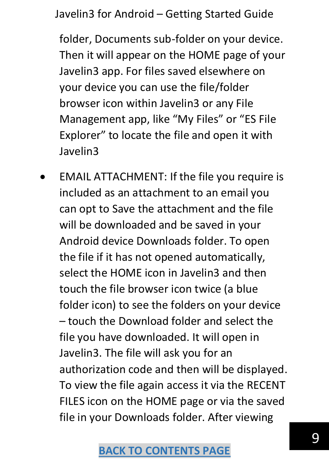folder, Documents sub-folder on your device. Then it will appear on the HOME page of your Javelin3 app. For files saved elsewhere on your device you can use the file/folder browser icon within Javelin3 or any File Management app, like "My Files" or "ES File Explorer" to locate the file and open it with Javelin3

• EMAIL ATTACHMENT: If the file you require is included as an attachment to an email you can opt to Save the attachment and the file will be downloaded and be saved in your Android device Downloads folder. To open the file if it has not opened automatically, select the HOME icon in Javelin3 and then touch the file browser icon twice (a blue folder icon) to see the folders on your device – touch the Download folder and select the file you have downloaded. It will open in Javelin3. The file will ask you for an authorization code and then will be displayed. To view the file again access it via the RECENT FILES icon on the HOME page or via the saved file in your Downloads folder. After viewing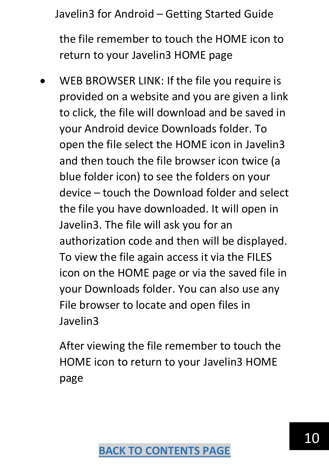the file remember to touch the HOME icon to return to your Javelin3 HOME page

WEB BROWSER LINK: If the file you require is provided on a website and you are given a link to click, the file will download and be saved in your Android device Downloads folder. To open the file select the HOME icon in Javelin3 and then touch the file browser icon twice (a blue folder icon) to see the folders on your device – touch the Download folder and select the file you have downloaded. It will open in Javelin3. The file will ask you for an authorization code and then will be displayed. To view the file again access it via the FILES icon on the HOME page or via the saved file in your Downloads folder. You can also use any File browser to locate and open files in Javelin3

After viewing the file remember to touch the HOME icon to return to your Javelin3 HOME page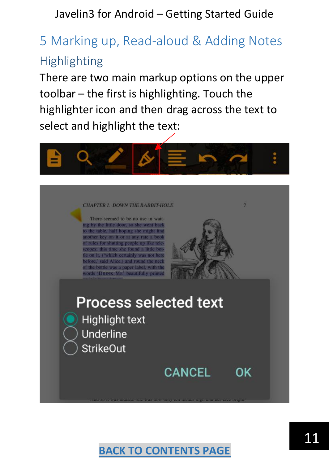# <span id="page-10-0"></span>5 Marking up, Read-aloud & Adding Notes **Highlighting**

There are two main markup options on the upper toolbar – the first is highlighting. Touch the highlighter icon and then drag across the text to select and highlight the text:



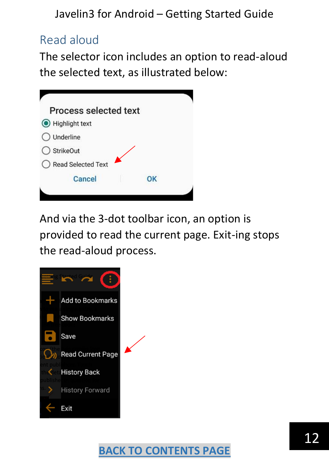### Read aloud

The selector icon includes an option to read-aloud the selected text, as illustrated below:



And via the 3-dot toolbar icon, an option is provided to read the current page. Exit-ing stops the read-aloud process.

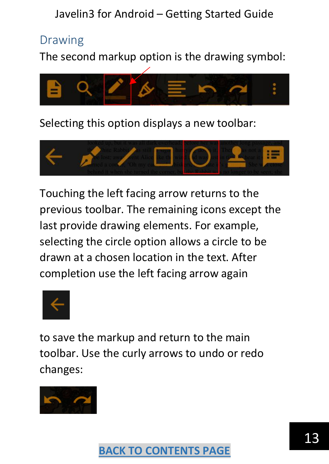#### Drawing

The second markup option is the drawing symbol:



Selecting this option displays a new toolbar:



Touching the left facing arrow returns to the previous toolbar. The remaining icons except the last provide drawing elements. For example, selecting the circle option allows a circle to be drawn at a chosen location in the text. After completion use the left facing arrow again



to save the markup and return to the main toolbar. Use the curly arrows to undo or redo changes:

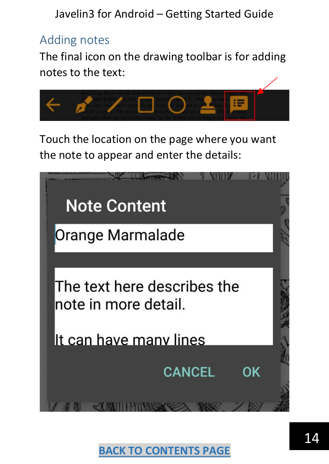#### Adding notes

The final icon on the drawing toolbar is for adding notes to the text:



Touch the location on the page where you want the note to appear and enter the details:

| <b>Note Content</b>                                 |  |
|-----------------------------------------------------|--|
| Orange Marmalade                                    |  |
|                                                     |  |
| The text here describes the<br>note in more detail. |  |
| It can have many lines                              |  |
| <b>CANCEL</b><br>ΩK                                 |  |
|                                                     |  |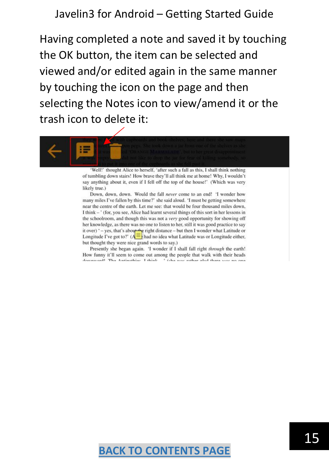Having completed a note and saved it by touching the OK button, the item can be selected and viewed and/or edited again in the same manner by touching the icon on the page and then selecting the Notes icon to view/amend it or the trash icon to delete it:



Well!' thought Alice to herself, 'after such a fall as this, I shall think nothing of tumbling down stairs! How brave they'll all think me at home! Why, I wouldn't say anything about it, even if I fell off the top of the house!' (Which was very likely true.)

Down, down, down. Would the fall never come to an end! 'I wonder how many miles I've fallen by this time?' she said aloud. 'I must be getting somewhere near the centre of the earth. Let me see: that would be four thousand miles down, I think - ' (for, you see, Alice had learnt several things of this sort in her lessons in the schoolroom, and though this was not a very good opportunity for showing off her knowledge, as there was no one to listen to her, still it was good practice to say it over)  $^+$  - yes, that's about the right distance – but then I wonder what Latitude or Longitude I've got to?' ( $A \equiv$  had no idea what Latitude was or Longitude either, but thought they were nice grand words to say.)

Presently she began again. 'I wonder if I shall fall right through the earth! How funny it'll seem to come out among the people that walk with their heads smood! The Antisothian I think

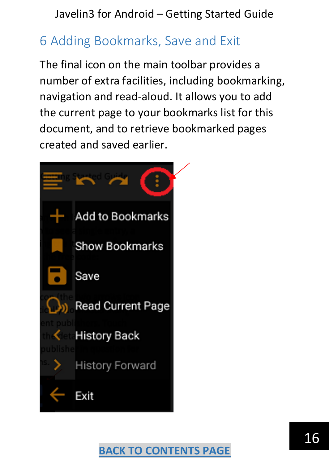## <span id="page-15-0"></span>6 Adding Bookmarks, Save and Exit

The final icon on the main toolbar provides a number of extra facilities, including bookmarking, navigation and read-aloud. It allows you to add the current page to your bookmarks list for this document, and to retrieve bookmarked pages created and saved earlier.

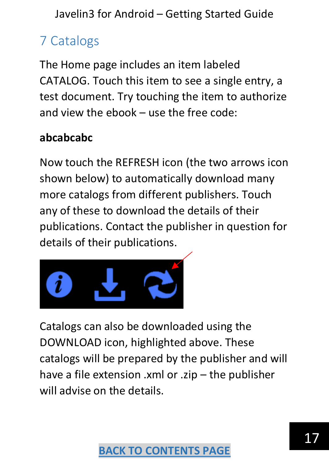# <span id="page-16-0"></span>7 Catalogs

The Home page includes an item labeled CATALOG. Touch this item to see a single entry, a test document. Try touching the item to authorize and view the ebook – use the free code:

### **abcabcabc**

Now touch the REFRESH icon (the two arrows icon shown below) to automatically download many more catalogs from different publishers. Touch any of these to download the details of their publications. Contact the publisher in question for details of their publications.



Catalogs can also be downloaded using the DOWNLOAD icon, highlighted above. These catalogs will be prepared by the publisher and will have a file extension .xml or .zip – the publisher will advise on the details.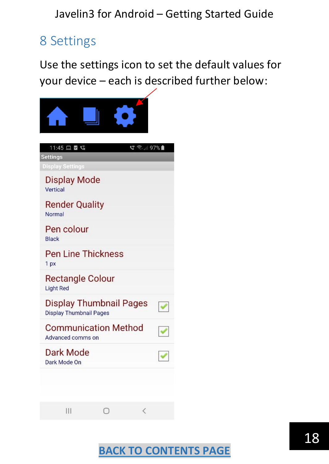### <span id="page-17-0"></span>8 Settings

Use the settings icon to set the default values for your device – each is described further below:

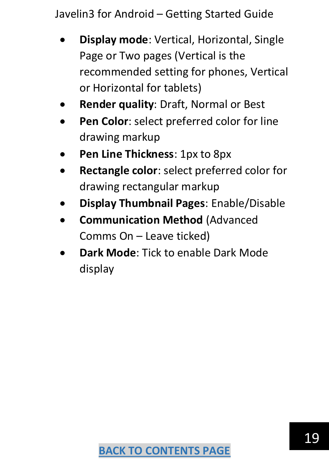- **Display mode**: Vertical, Horizontal, Single Page or Two pages (Vertical is the recommended setting for phones, Vertical or Horizontal for tablets)
- **Render quality**: Draft, Normal or Best
- Pen Color: select preferred color for line drawing markup
- **Pen Line Thickness**: 1px to 8px
- **Rectangle color**: select preferred color for drawing rectangular markup
- **Display Thumbnail Pages**: Enable/Disable
- **Communication Method** (Advanced Comms On – Leave ticked)
- <span id="page-18-0"></span>• **Dark Mode**: Tick to enable Dark Mode display